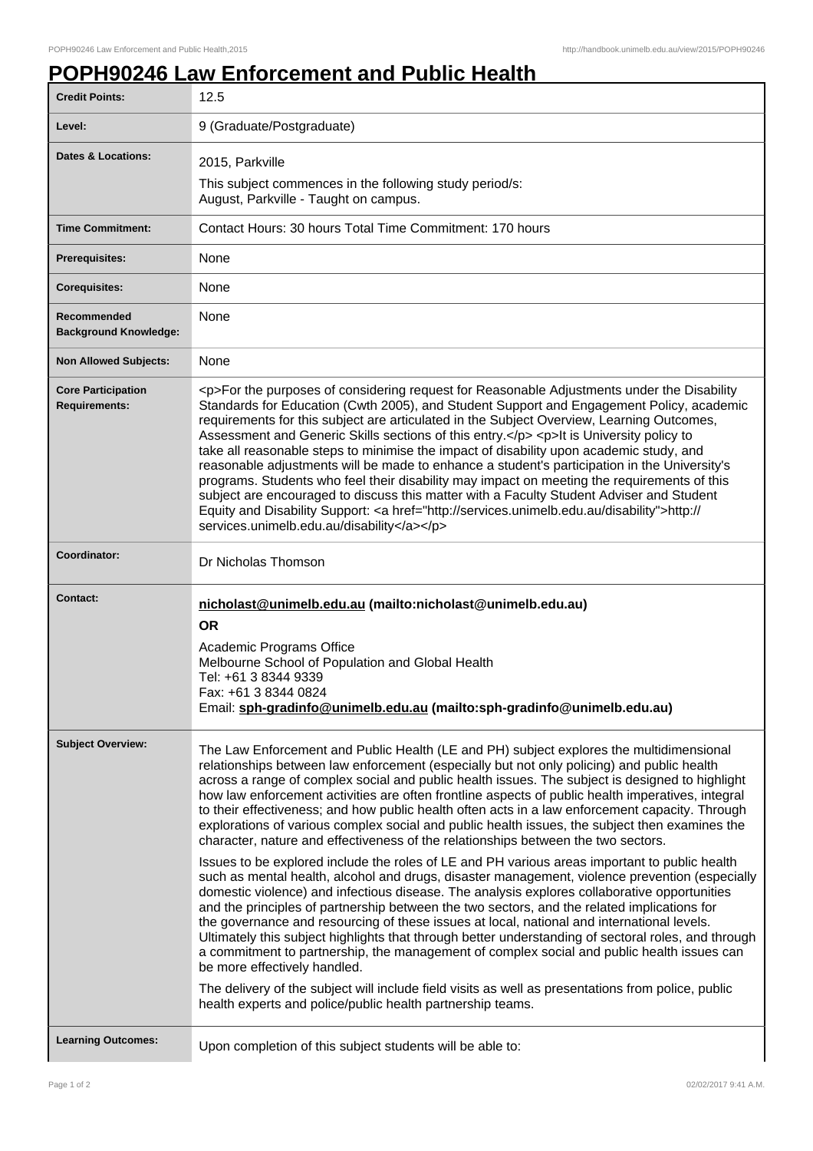## **POPH90246 Law Enforcement and Public Health**

| <b>Credit Points:</b>                             | 12.5                                                                                                                                                                                                                                                                                                                                                                                                                                                                                                                                                                                                                                                                                                                                                                                                                                                                                                                                                                                                                                                                                                                                                                                                                                                                                                                                                                                                                                                                                                                                                                                             |
|---------------------------------------------------|--------------------------------------------------------------------------------------------------------------------------------------------------------------------------------------------------------------------------------------------------------------------------------------------------------------------------------------------------------------------------------------------------------------------------------------------------------------------------------------------------------------------------------------------------------------------------------------------------------------------------------------------------------------------------------------------------------------------------------------------------------------------------------------------------------------------------------------------------------------------------------------------------------------------------------------------------------------------------------------------------------------------------------------------------------------------------------------------------------------------------------------------------------------------------------------------------------------------------------------------------------------------------------------------------------------------------------------------------------------------------------------------------------------------------------------------------------------------------------------------------------------------------------------------------------------------------------------------------|
| Level:                                            | 9 (Graduate/Postgraduate)                                                                                                                                                                                                                                                                                                                                                                                                                                                                                                                                                                                                                                                                                                                                                                                                                                                                                                                                                                                                                                                                                                                                                                                                                                                                                                                                                                                                                                                                                                                                                                        |
| <b>Dates &amp; Locations:</b>                     | 2015, Parkville<br>This subject commences in the following study period/s:                                                                                                                                                                                                                                                                                                                                                                                                                                                                                                                                                                                                                                                                                                                                                                                                                                                                                                                                                                                                                                                                                                                                                                                                                                                                                                                                                                                                                                                                                                                       |
|                                                   | August, Parkville - Taught on campus.                                                                                                                                                                                                                                                                                                                                                                                                                                                                                                                                                                                                                                                                                                                                                                                                                                                                                                                                                                                                                                                                                                                                                                                                                                                                                                                                                                                                                                                                                                                                                            |
| <b>Time Commitment:</b>                           | Contact Hours: 30 hours Total Time Commitment: 170 hours                                                                                                                                                                                                                                                                                                                                                                                                                                                                                                                                                                                                                                                                                                                                                                                                                                                                                                                                                                                                                                                                                                                                                                                                                                                                                                                                                                                                                                                                                                                                         |
| <b>Prerequisites:</b>                             | None                                                                                                                                                                                                                                                                                                                                                                                                                                                                                                                                                                                                                                                                                                                                                                                                                                                                                                                                                                                                                                                                                                                                                                                                                                                                                                                                                                                                                                                                                                                                                                                             |
| <b>Corequisites:</b>                              | None                                                                                                                                                                                                                                                                                                                                                                                                                                                                                                                                                                                                                                                                                                                                                                                                                                                                                                                                                                                                                                                                                                                                                                                                                                                                                                                                                                                                                                                                                                                                                                                             |
| Recommended<br><b>Background Knowledge:</b>       | None                                                                                                                                                                                                                                                                                                                                                                                                                                                                                                                                                                                                                                                                                                                                                                                                                                                                                                                                                                                                                                                                                                                                                                                                                                                                                                                                                                                                                                                                                                                                                                                             |
| <b>Non Allowed Subjects:</b>                      | None                                                                                                                                                                                                                                                                                                                                                                                                                                                                                                                                                                                                                                                                                                                                                                                                                                                                                                                                                                                                                                                                                                                                                                                                                                                                                                                                                                                                                                                                                                                                                                                             |
| <b>Core Participation</b><br><b>Requirements:</b> | <p>For the purposes of considering request for Reasonable Adjustments under the Disability<br/>Standards for Education (Cwth 2005), and Student Support and Engagement Policy, academic<br/>requirements for this subject are articulated in the Subject Overview, Learning Outcomes,<br/>Assessment and Generic Skills sections of this entry.</p> <p>lt is University policy to<br/>take all reasonable steps to minimise the impact of disability upon academic study, and<br/>reasonable adjustments will be made to enhance a student's participation in the University's<br/>programs. Students who feel their disability may impact on meeting the requirements of this<br/>subject are encouraged to discuss this matter with a Faculty Student Adviser and Student<br/>Equity and Disability Support: &lt; a href="http://services.unimelb.edu.au/disability"&gt;http://<br/>services.unimelb.edu.au/disability</p>                                                                                                                                                                                                                                                                                                                                                                                                                                                                                                                                                                                                                                                                     |
| Coordinator:                                      | Dr Nicholas Thomson                                                                                                                                                                                                                                                                                                                                                                                                                                                                                                                                                                                                                                                                                                                                                                                                                                                                                                                                                                                                                                                                                                                                                                                                                                                                                                                                                                                                                                                                                                                                                                              |
| <b>Contact:</b>                                   | nicholast@unimelb.edu.au (mailto:nicholast@unimelb.edu.au)<br><b>OR</b><br>Academic Programs Office<br>Melbourne School of Population and Global Health<br>Tel: +61 3 8344 9339<br>Fax: +61 3 8344 0824<br>Email: sph-gradinfo@unimelb.edu.au (mailto:sph-gradinfo@unimelb.edu.au)                                                                                                                                                                                                                                                                                                                                                                                                                                                                                                                                                                                                                                                                                                                                                                                                                                                                                                                                                                                                                                                                                                                                                                                                                                                                                                               |
| <b>Subject Overview:</b>                          | The Law Enforcement and Public Health (LE and PH) subject explores the multidimensional<br>relationships between law enforcement (especially but not only policing) and public health<br>across a range of complex social and public health issues. The subject is designed to highlight<br>how law enforcement activities are often frontline aspects of public health imperatives, integral<br>to their effectiveness; and how public health often acts in a law enforcement capacity. Through<br>explorations of various complex social and public health issues, the subject then examines the<br>character, nature and effectiveness of the relationships between the two sectors.<br>Issues to be explored include the roles of LE and PH various areas important to public health<br>such as mental health, alcohol and drugs, disaster management, violence prevention (especially<br>domestic violence) and infectious disease. The analysis explores collaborative opportunities<br>and the principles of partnership between the two sectors, and the related implications for<br>the governance and resourcing of these issues at local, national and international levels.<br>Ultimately this subject highlights that through better understanding of sectoral roles, and through<br>a commitment to partnership, the management of complex social and public health issues can<br>be more effectively handled.<br>The delivery of the subject will include field visits as well as presentations from police, public<br>health experts and police/public health partnership teams. |
| <b>Learning Outcomes:</b>                         | Upon completion of this subject students will be able to:                                                                                                                                                                                                                                                                                                                                                                                                                                                                                                                                                                                                                                                                                                                                                                                                                                                                                                                                                                                                                                                                                                                                                                                                                                                                                                                                                                                                                                                                                                                                        |